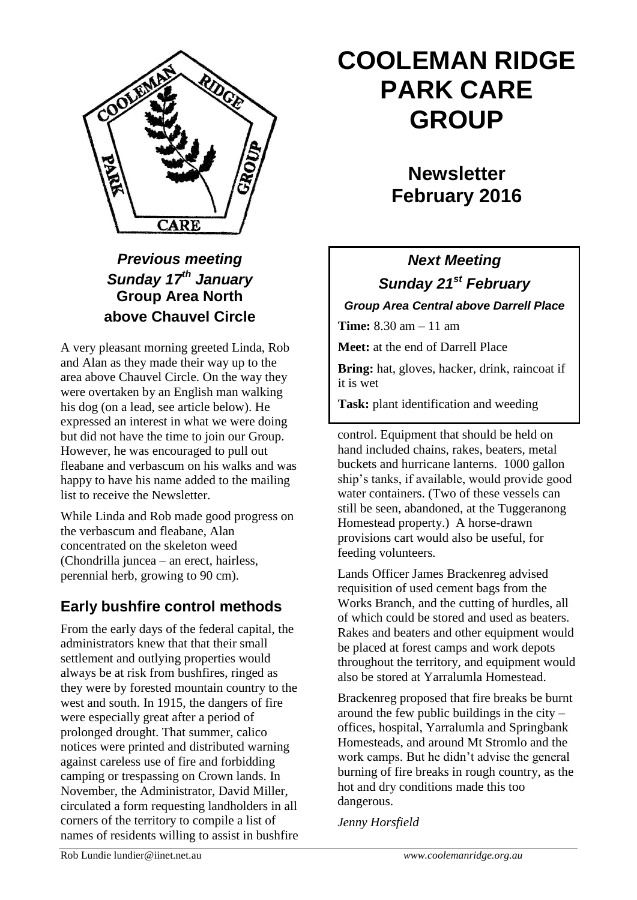

### *Previous meeting Sunday 17th January* **Group Area North above Chauvel Circle**

A very pleasant morning greeted Linda, Rob and Alan as they made their way up to the area above Chauvel Circle. On the way they were overtaken by an English man walking his dog (on a lead, see article below). He expressed an interest in what we were doing but did not have the time to join our Group. However, he was encouraged to pull out fleabane and verbascum on his walks and was happy to have his name added to the mailing list to receive the Newsletter.

While Linda and Rob made good progress on the verbascum and fleabane, Alan concentrated on the skeleton weed (Chondrilla juncea – an erect, hairless, perennial herb, growing to 90 cm).

### **Early bushfire control methods**

From the early days of the federal capital, the administrators knew that that their small settlement and outlying properties would always be at risk from bushfires, ringed as they were by forested mountain country to the west and south. In 1915, the dangers of fire were especially great after a period of prolonged drought. That summer, calico notices were printed and distributed warning against careless use of fire and forbidding camping or trespassing on Crown lands. In November, the Administrator, David Miller, circulated a form requesting landholders in all corners of the territory to compile a list of names of residents willing to assist in bushfire

# **COOLEMAN RIDGE PARK CARE GROUP**

## **Newsletter February 2016**

### *Next Meeting*

*Sunday 21st February Group Area Central above Darrell Place*

**Time:** 8.30 am – 11 am

**Meet:** at the end of Darrell Place

**Bring:** hat, gloves, hacker, drink, raincoat if it is wet

**Task:** plant identification and weeding

control. Equipment that should be held on hand included chains, rakes, beaters, metal buckets and hurricane lanterns. 1000 gallon ship's tanks, if available, would provide good water containers. (Two of these vessels can still be seen, abandoned, at the Tuggeranong Homestead property.) A horse-drawn provisions cart would also be useful, for feeding volunteers*.*

Lands Officer James Brackenreg advised requisition of used cement bags from the Works Branch, and the cutting of hurdles, all of which could be stored and used as beaters. Rakes and beaters and other equipment would be placed at forest camps and work depots throughout the territory, and equipment would also be stored at Yarralumla Homestead.

Brackenreg proposed that fire breaks be burnt around the few public buildings in the city – offices, hospital, Yarralumla and Springbank Homesteads, and around Mt Stromlo and the work camps. But he didn't advise the general burning of fire breaks in rough country, as the hot and dry conditions made this too dangerous.

*Jenny Horsfield*